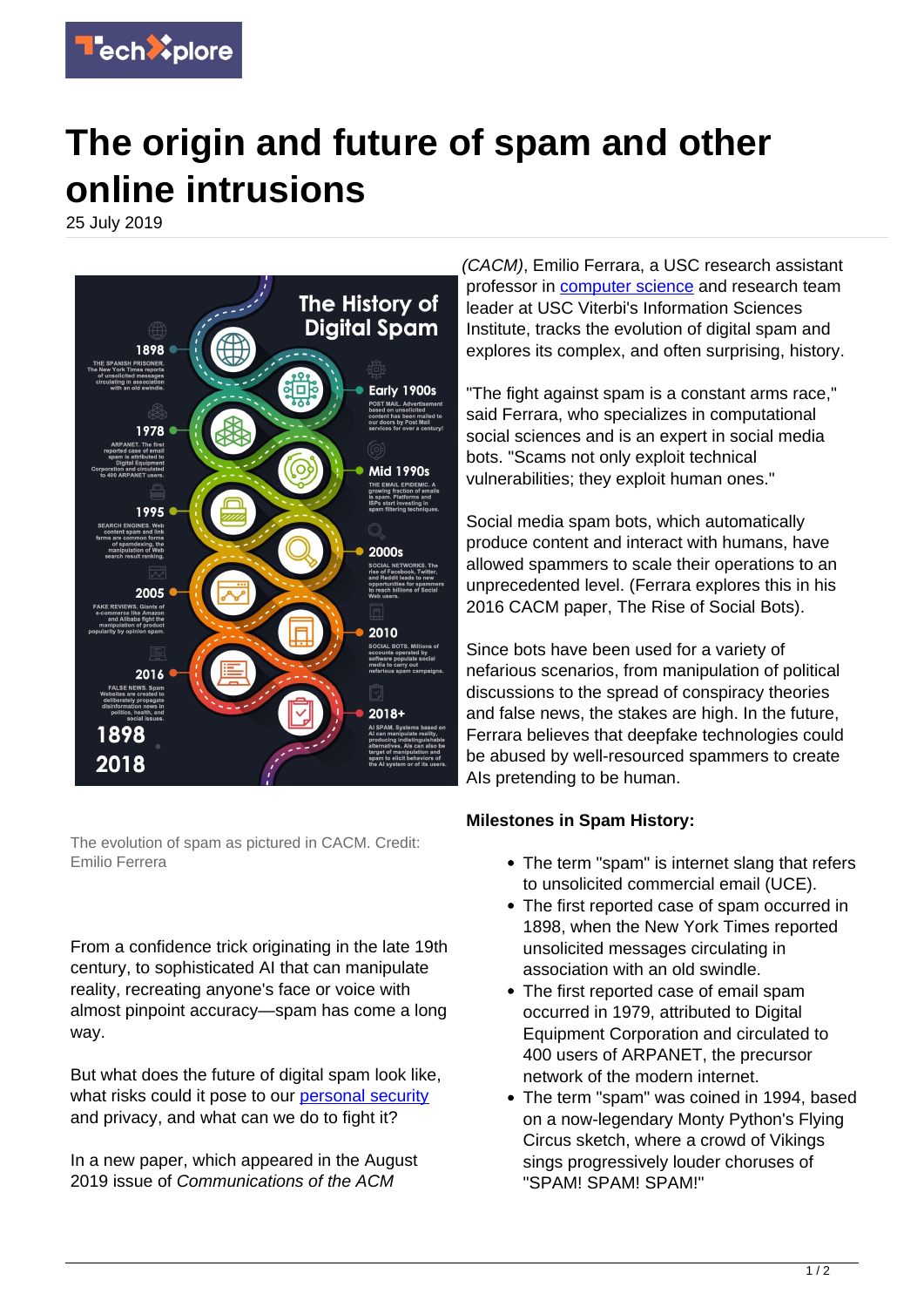

## **The origin and future of spam and other online intrusions**

25 July 2019



The evolution of spam as pictured in CACM. Credit: Emilio Ferrera

From a confidence trick originating in the late 19th century, to sophisticated AI that can manipulate reality, recreating anyone's face or voice with almost pinpoint accuracy—spam has come a long way.

But what does the future of digital spam look like, what risks could it pose to our [personal security](https://techxplore.com/tags/personal+security/) and privacy, and what can we do to fight it?

In a new paper, which appeared in the August 2019 issue of Communications of the ACM

(CACM), Emilio Ferrara, a USC research assistant professor in [computer science](https://techxplore.com/tags/computer+science/) and research team leader at USC Viterbi's Information Sciences Institute, tracks the evolution of digital spam and explores its complex, and often surprising, history.

"The fight against spam is a constant arms race," said Ferrara, who specializes in computational social sciences and is an expert in social media bots. "Scams not only exploit technical vulnerabilities; they exploit human ones."

Social media spam bots, which automatically produce content and interact with humans, have allowed spammers to scale their operations to an unprecedented level. (Ferrara explores this in his 2016 CACM paper, The Rise of Social Bots).

Since bots have been used for a variety of nefarious scenarios, from manipulation of political discussions to the spread of conspiracy theories and false news, the stakes are high. In the future, Ferrara believes that deepfake technologies could be abused by well-resourced spammers to create AIs pretending to be human.

## **Milestones in Spam History:**

- The term "spam" is internet slang that refers to unsolicited commercial email (UCE).
- The first reported case of spam occurred in 1898, when the New York Times reported unsolicited messages circulating in association with an old swindle.
- The first reported case of email spam occurred in 1979, attributed to Digital Equipment Corporation and circulated to 400 users of ARPANET, the precursor network of the modern internet.
- The term "spam" was coined in 1994, based on a now-legendary Monty Python's Flying Circus sketch, where a crowd of Vikings sings progressively louder choruses of "SPAM! SPAM! SPAM!"